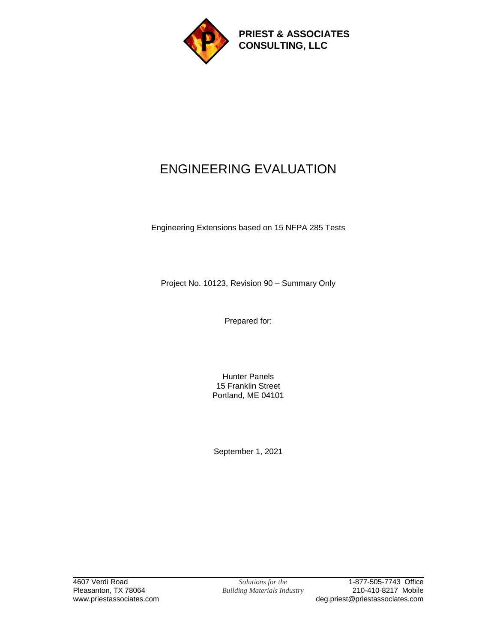

**PRIEST & ASSOCIATES CONSULTING, LLC**

# ENGINEERING EVALUATION

Engineering Extensions based on 15 NFPA 285 Tests

Project No. 10123, Revision 90 – Summary Only

Prepared for:

Hunter Panels 15 Franklin Street Portland, ME 04101

September 1, 2021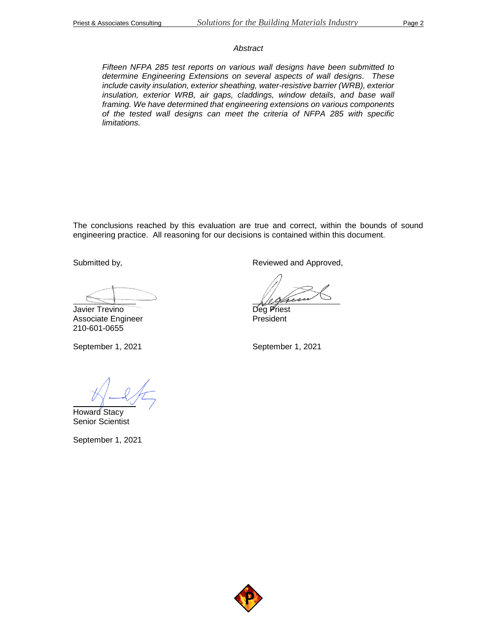#### *Abstract*

*Fifteen NFPA 285 test reports on various wall designs have been submitted to determine Engineering Extensions on several aspects of wall designs. These include cavity insulation, exterior sheathing, water-resistive barrier (WRB), exterior insulation, exterior WRB, air gaps, claddings, window details, and base wall framing. We have determined that engineering extensions on various components of the tested wall designs can meet the criteria of NFPA 285 with specific limitations.*

The conclusions reached by this evaluation are true and correct, within the bounds of sound engineering practice. All reasoning for our decisions is contained within this document.

Submitted by,

Javier Trevino

Associate Engineer 210-601-0655

September 1, 2021

Howard Stacy Senior Scientist

September 1, 2021

Reviewed and Approved,

Deg Priest President

September 1, 2021

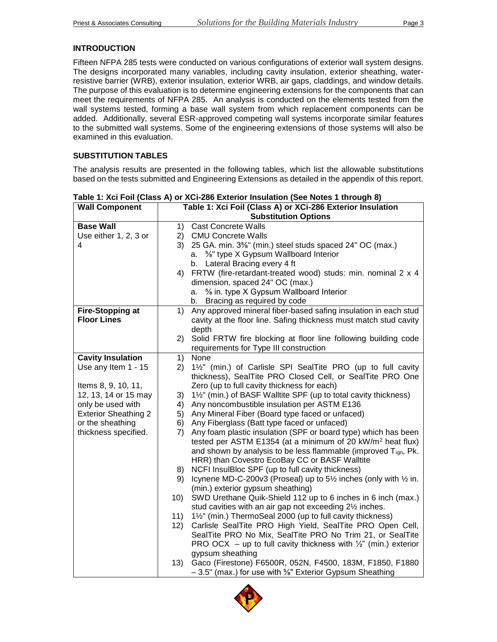#### **INTRODUCTION**

Fifteen NFPA 285 tests were conducted on various configurations of exterior wall system designs. The designs incorporated many variables, including cavity insulation, exterior sheathing, waterresistive barrier (WRB), exterior insulation, exterior WRB, air gaps, claddings, and window details. The purpose of this evaluation is to determine engineering extensions for the components that can meet the requirements of NFPA 285. An analysis is conducted on the elements tested from the wall systems tested, forming a base wall system from which replacement components can be added. Additionally, several ESR-approved competing wall systems incorporate similar features to the submitted wall systems. Some of the engineering extensions of those systems will also be examined in this evaluation.

## **SUBSTITUTION TABLES**

The analysis results are presented in the following tables, which list the allowable substitutions based on the tests submitted and Engineering Extensions as detailed in the appendix of this report.

| <b>Wall Component</b>       | Table 1: Xci Foil (Class A) or XCi-286 Exterior Insulation |                                                                                                                       |
|-----------------------------|------------------------------------------------------------|-----------------------------------------------------------------------------------------------------------------------|
|                             |                                                            | <b>Substitution Options</b>                                                                                           |
| <b>Base Wall</b>            | 1)                                                         | <b>Cast Concrete Walls</b>                                                                                            |
| Use either 1, 2, 3 or       | 2)                                                         | <b>CMU Concrete Walls</b>                                                                                             |
| 4                           | 3)                                                         | 25 GA. min. 3%" (min.) steel studs spaced 24" OC (max.)                                                               |
|                             | a.                                                         | 5%" type X Gypsum Wallboard Interior                                                                                  |
|                             | b.                                                         | Lateral Bracing every 4 ft                                                                                            |
|                             | 4)                                                         | FRTW (fire-retardant-treated wood) studs: min. nominal 2 x 4                                                          |
|                             |                                                            | dimension, spaced 24" OC (max.)                                                                                       |
|                             | a.                                                         | % in. type X Gypsum Wallboard Interior                                                                                |
|                             | b.                                                         | Bracing as required by code                                                                                           |
| <b>Fire-Stopping at</b>     | 1)                                                         | Any approved mineral fiber-based safing insulation in each stud                                                       |
| <b>Floor Lines</b>          |                                                            | cavity at the floor line. Safing thickness must match stud cavity                                                     |
|                             |                                                            | depth                                                                                                                 |
|                             | 2)                                                         | Solid FRTW fire blocking at floor line following building code                                                        |
|                             |                                                            | requirements for Type III construction                                                                                |
| <b>Cavity Insulation</b>    | 1)                                                         | None                                                                                                                  |
| Use any Item 1 - 15         | 2)                                                         | 1½" (min.) of Carlisle SPI SealTite PRO (up to full cavity                                                            |
|                             |                                                            | thickness), SealTite PRO Closed Cell, or SealTite PRO One                                                             |
| Items 8, 9, 10, 11,         |                                                            | Zero (up to full cavity thickness for each)                                                                           |
| 12, 13, 14 or 15 may        | 3)                                                         | 1½" (min.) of BASF Walltite SPF (up to total cavity thickness)                                                        |
| only be used with           | 4)                                                         | Any noncombustible insulation per ASTM E136                                                                           |
| <b>Exterior Sheathing 2</b> | 5)                                                         | Any Mineral Fiber (Board type faced or unfaced)                                                                       |
| or the sheathing            | 6)                                                         | Any Fiberglass (Batt type faced or unfaced)                                                                           |
| thickness specified.        | 7)                                                         | Any foam plastic insulation (SPF or board type) which has been                                                        |
|                             |                                                            | tested per ASTM E1354 (at a minimum of 20 kW/m <sup>2</sup> heat flux)                                                |
|                             |                                                            | and shown by analysis to be less flammable (improved Tign, Pk.                                                        |
|                             |                                                            | HRR) than Covestro EcoBay CC or BASF Walltite                                                                         |
|                             | 8)                                                         | NCFI InsulBloc SPF (up to full cavity thickness)                                                                      |
|                             | 9)                                                         | Icynene MD-C-200v3 (Proseal) up to 51/2 inches (only with 1/2 in.                                                     |
|                             |                                                            | (min.) exterior gypsum sheathing)                                                                                     |
|                             | 10)                                                        | SWD Urethane Quik-Shield 112 up to 6 inches in 6 inch (max.)                                                          |
|                             |                                                            | stud cavities with an air gap not exceeding 21/2 inches.                                                              |
|                             | 11)<br>12)                                                 | 1½" (min.) ThermoSeal 2000 (up to full cavity thickness)<br>Carlisle SealTite PRO High Yield, SealTite PRO Open Cell, |
|                             |                                                            | SealTite PRO No Mix, SealTite PRO No Trim 21, or SealTite                                                             |
|                             |                                                            | PRO OCX – up to full cavity thickness with $\frac{1}{2}$ " (min.) exterior                                            |
|                             |                                                            | gypsum sheathing                                                                                                      |
|                             | (13)                                                       | Gaco (Firestone) F6500R, 052N, F4500, 183M, F1850, F1880                                                              |
|                             |                                                            | -3.5" (max.) for use with <sup>5</sup> / <sub>8</sub> " Exterior Gypsum Sheathing                                     |
|                             |                                                            |                                                                                                                       |

**Table 1: Xci Foil (Class A) or XCi-286 Exterior Insulation (See Notes 1 through 8)**

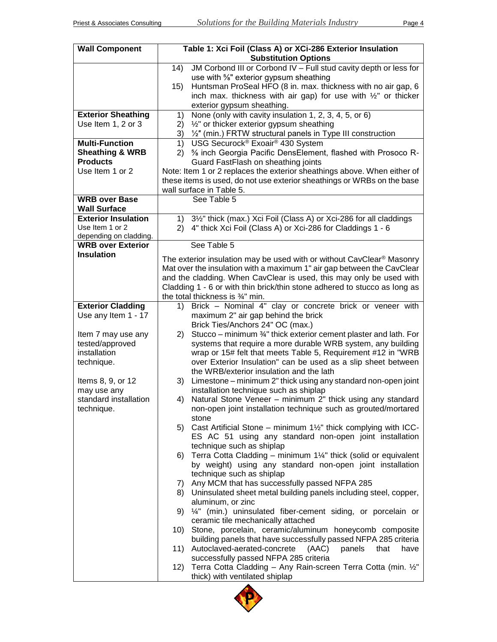| <b>Wall Component</b>                             | Table 1: Xci Foil (Class A) or XCi-286 Exterior Insulation<br><b>Substitution Options</b>                                                                                                                                                                                                           |  |
|---------------------------------------------------|-----------------------------------------------------------------------------------------------------------------------------------------------------------------------------------------------------------------------------------------------------------------------------------------------------|--|
|                                                   | JM Corbond III or Corbond IV - Full stud cavity depth or less for<br>(14)<br>use with %" exterior gypsum sheathing<br>Huntsman ProSeal HFO (8 in. max. thickness with no air gap, 6<br>15)<br>inch max. thickness with air gap) for use with $\frac{1}{2}$ or thicker<br>exterior gypsum sheathing. |  |
| <b>Exterior Sheathing</b>                         | None (only with cavity insulation 1, 2, 3, 4, 5, or 6)<br>1)                                                                                                                                                                                                                                        |  |
| Use Item 1, 2 or 3                                | 1/2" or thicker exterior gypsum sheathing<br>2)<br>3)<br>1/2" (min.) FRTW structural panels in Type III construction                                                                                                                                                                                |  |
| <b>Multi-Function</b>                             | USG Securock® Exoair® 430 System<br>1)                                                                                                                                                                                                                                                              |  |
| <b>Sheathing &amp; WRB</b>                        | 5% inch Georgia Pacific DensElement, flashed with Prosoco R-<br>2)                                                                                                                                                                                                                                  |  |
| <b>Products</b>                                   | Guard FastFlash on sheathing joints                                                                                                                                                                                                                                                                 |  |
| Use Item 1 or 2                                   | Note: Item 1 or 2 replaces the exterior sheathings above. When either of<br>these items is used, do not use exterior sheathings or WRBs on the base<br>wall surface in Table 5.                                                                                                                     |  |
| <b>WRB over Base</b>                              | See Table 5                                                                                                                                                                                                                                                                                         |  |
| <b>Wall Surface</b><br><b>Exterior Insulation</b> | 1) 3 <sup>1/2</sup> " thick (max.) Xci Foil (Class A) or Xci-286 for all claddings                                                                                                                                                                                                                  |  |
| Use Item 1 or 2                                   | 4" thick Xci Foil (Class A) or Xci-286 for Claddings 1 - 6<br>2)                                                                                                                                                                                                                                    |  |
| depending on cladding.                            |                                                                                                                                                                                                                                                                                                     |  |
| <b>WRB over Exterior</b><br><b>Insulation</b>     | See Table 5                                                                                                                                                                                                                                                                                         |  |
|                                                   | The exterior insulation may be used with or without CavClear <sup>®</sup> Masonry<br>Mat over the insulation with a maximum 1" air gap between the CavClear<br>and the cladding. When CavClear is used, this may only be used with                                                                  |  |
|                                                   | Cladding 1 - 6 or with thin brick/thin stone adhered to stucco as long as                                                                                                                                                                                                                           |  |
| <b>Exterior Cladding</b>                          | the total thickness is 3/4" min.<br>Brick - Nominal 4" clay or concrete brick or veneer with<br>1)                                                                                                                                                                                                  |  |
| Use any Item 1 - 17                               | maximum 2" air gap behind the brick                                                                                                                                                                                                                                                                 |  |
|                                                   | Brick Ties/Anchors 24" OC (max.)                                                                                                                                                                                                                                                                    |  |
| Item 7 may use any                                | Stucco – minimum 3/4" thick exterior cement plaster and lath. For<br>2)                                                                                                                                                                                                                             |  |
| tested/approved<br>installation                   | systems that require a more durable WRB system, any building                                                                                                                                                                                                                                        |  |
| technique.                                        | wrap or 15# felt that meets Table 5, Requirement #12 in "WRB<br>over Exterior Insulation" can be used as a slip sheet between                                                                                                                                                                       |  |
|                                                   | the WRB/exterior insulation and the lath                                                                                                                                                                                                                                                            |  |
| Items 8, 9, or 12                                 | 3) Limestone – minimum 2" thick using any standard non-open joint                                                                                                                                                                                                                                   |  |
| may use any                                       | installation technique such as shiplap                                                                                                                                                                                                                                                              |  |
| standard installation<br>technique.               | Natural Stone Veneer - minimum 2" thick using any standard<br>4)<br>non-open joint installation technique such as grouted/mortared                                                                                                                                                                  |  |
|                                                   | stone                                                                                                                                                                                                                                                                                               |  |
|                                                   | Cast Artificial Stone – minimum 1½" thick complying with ICC-<br>5)<br>ES AC 51 using any standard non-open joint installation                                                                                                                                                                      |  |
|                                                   | technique such as shiplap<br>6) Terra Cotta Cladding - minimum 1¼" thick (solid or equivalent                                                                                                                                                                                                       |  |
|                                                   | by weight) using any standard non-open joint installation                                                                                                                                                                                                                                           |  |
|                                                   | technique such as shiplap                                                                                                                                                                                                                                                                           |  |
|                                                   | 7) Any MCM that has successfully passed NFPA 285                                                                                                                                                                                                                                                    |  |
|                                                   | 8) Uninsulated sheet metal building panels including steel, copper,                                                                                                                                                                                                                                 |  |
|                                                   | aluminum, or zinc<br>1/4" (min.) uninsulated fiber-cement siding, or porcelain or<br>9)<br>ceramic tile mechanically attached                                                                                                                                                                       |  |
|                                                   | Stone, porcelain, ceramic/aluminum honeycomb composite<br>10)<br>building panels that have successfully passed NFPA 285 criteria                                                                                                                                                                    |  |
|                                                   | Autoclaved-aerated-concrete<br>(AAC)<br>panels<br>that<br>have<br>11)                                                                                                                                                                                                                               |  |
|                                                   | successfully passed NFPA 285 criteria                                                                                                                                                                                                                                                               |  |
|                                                   | Terra Cotta Cladding - Any Rain-screen Terra Cotta (min. 1/2"<br>12)<br>thick) with ventilated shiplap                                                                                                                                                                                              |  |

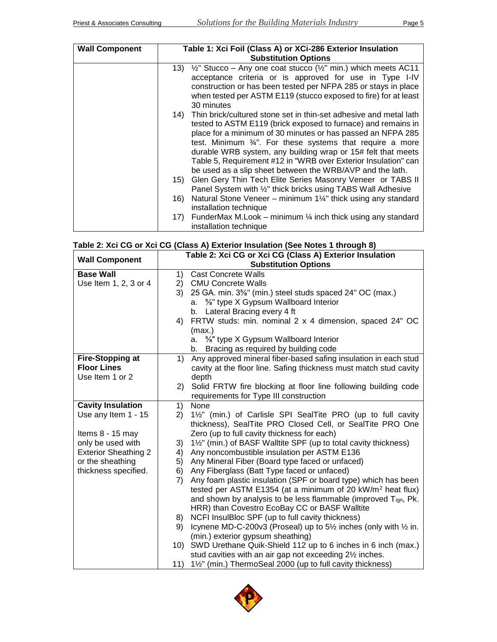| <b>Wall Component</b> |       | Table 1: Xci Foil (Class A) or XCi-286 Exterior Insulation<br><b>Substitution Options</b> |
|-----------------------|-------|-------------------------------------------------------------------------------------------|
|                       |       | 13) $\frac{1}{2}$ Stucco – Any one coat stucco ( $\frac{1}{2}$ min.) which meets AC11     |
|                       |       | acceptance criteria or is approved for use in Type I-IV                                   |
|                       |       | construction or has been tested per NFPA 285 or stays in place                            |
|                       |       | when tested per ASTM E119 (stucco exposed to fire) for at least<br>30 minutes             |
|                       |       | 14) Thin brick/cultured stone set in thin-set adhesive and metal lath                     |
|                       |       | tested to ASTM E119 (brick exposed to furnace) and remains in                             |
|                       |       | place for a minimum of 30 minutes or has passed an NFPA 285                               |
|                       |       | test. Minimum 34". For these systems that require a more                                  |
|                       |       | durable WRB system, any building wrap or 15# felt that meets                              |
|                       |       | Table 5, Requirement #12 in "WRB over Exterior Insulation" can                            |
|                       |       | be used as a slip sheet between the WRB/AVP and the lath.                                 |
|                       | 15)   | Glen Gery Thin Tech Elite Series Masonry Veneer or TABS II                                |
|                       |       | Panel System with 1/2" thick bricks using TABS Wall Adhesive                              |
|                       | 16)   | Natural Stone Veneer - minimum 11/4" thick using any standard                             |
|                       |       | installation technique                                                                    |
|                       | 17) - | FunderMax M.Look – minimum $\frac{1}{4}$ inch thick using any standard                    |
|                       |       | installation technique                                                                    |

# **Table 2: Xci CG or Xci CG (Class A) Exterior Insulation (See Notes 1 through 8)**

| <b>Wall Component</b>       | Table 2: Xci CG or Xci CG (Class A) Exterior Insulation |                                                                        |  |
|-----------------------------|---------------------------------------------------------|------------------------------------------------------------------------|--|
|                             |                                                         | <b>Substitution Options</b>                                            |  |
| <b>Base Wall</b>            | 1)                                                      | <b>Cast Concrete Walls</b>                                             |  |
| Use Item 1, 2, 3 or 4       |                                                         | 2) CMU Concrete Walls                                                  |  |
|                             | 3)                                                      | 25 GA. min. 3%" (min.) steel studs spaced 24" OC (max.)                |  |
|                             | a.                                                      | %" type X Gypsum Wallboard Interior                                    |  |
|                             | b.                                                      | Lateral Bracing every 4 ft                                             |  |
|                             | 4)                                                      | FRTW studs: min. nominal 2 x 4 dimension, spaced 24" OC                |  |
|                             | (max.)                                                  |                                                                        |  |
|                             | a.                                                      | %" type X Gypsum Wallboard Interior                                    |  |
|                             |                                                         | b. Bracing as required by building code                                |  |
| <b>Fire-Stopping at</b>     | 1)                                                      | Any approved mineral fiber-based safing insulation in each stud        |  |
| <b>Floor Lines</b>          |                                                         | cavity at the floor line. Safing thickness must match stud cavity      |  |
| Use Item 1 or 2             | depth                                                   |                                                                        |  |
|                             | (2)                                                     | Solid FRTW fire blocking at floor line following building code         |  |
|                             |                                                         | requirements for Type III construction                                 |  |
| <b>Cavity Insulation</b>    | None<br>1)                                              |                                                                        |  |
| Use any Item 1 - 15         | 2)                                                      | 1½" (min.) of Carlisle SPI SealTite PRO (up to full cavity             |  |
|                             |                                                         | thickness), SealTite PRO Closed Cell, or SealTite PRO One              |  |
| Items 8 - 15 may            |                                                         | Zero (up to full cavity thickness for each)                            |  |
| only be used with           | 3)                                                      | 1½" (min.) of BASF Walltite SPF (up to total cavity thickness)         |  |
| <b>Exterior Sheathing 2</b> | 4)                                                      | Any noncombustible insulation per ASTM E136                            |  |
| or the sheathing            | 5)                                                      | Any Mineral Fiber (Board type faced or unfaced)                        |  |
| thickness specified.        | 6)                                                      | Any Fiberglass (Batt Type faced or unfaced)                            |  |
|                             | 7)                                                      | Any foam plastic insulation (SPF or board type) which has been         |  |
|                             |                                                         | tested per ASTM E1354 (at a minimum of 20 kW/m <sup>2</sup> heat flux) |  |
|                             |                                                         | and shown by analysis to be less flammable (improved Tign, Pk.         |  |
|                             |                                                         | HRR) than Covestro EcoBay CC or BASF Walltite                          |  |
|                             | 8)                                                      | NCFI InsulBloc SPF (up to full cavity thickness)                       |  |
|                             | 9)                                                      | Icynene MD-C-200v3 (Proseal) up to 51/2 inches (only with 1/2 in.      |  |
|                             |                                                         | (min.) exterior gypsum sheathing)                                      |  |
|                             | 10)                                                     | SWD Urethane Quik-Shield 112 up to 6 inches in 6 inch (max.)           |  |
|                             |                                                         | stud cavities with an air gap not exceeding 21/2 inches.               |  |
|                             | 11)                                                     | 1½" (min.) ThermoSeal 2000 (up to full cavity thickness)               |  |

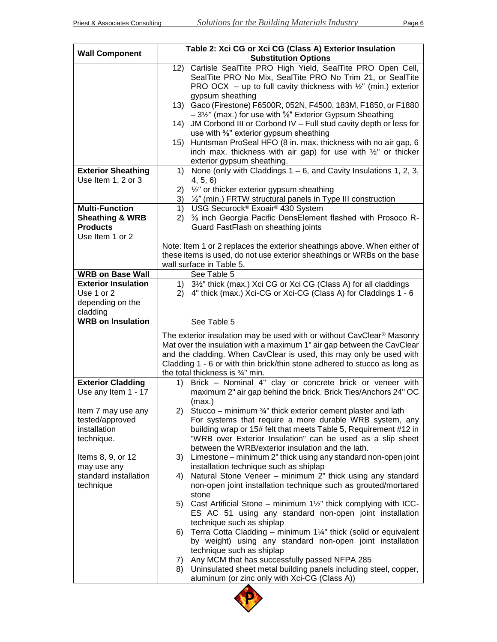| <b>Wall Component</b>                         | Table 2: Xci CG or Xci CG (Class A) Exterior Insulation<br><b>Substitution Options</b>                                                                                                                                       |
|-----------------------------------------------|------------------------------------------------------------------------------------------------------------------------------------------------------------------------------------------------------------------------------|
|                                               | 12) Carlisle SealTite PRO High Yield, SealTite PRO Open Cell,<br>SealTite PRO No Mix, SealTite PRO No Trim 21, or SealTite<br>PRO OCX – up to full cavity thickness with $\frac{1}{2}$ " (min.) exterior<br>gypsum sheathing |
|                                               | 13) Gaco (Firestone) F6500R, 052N, F4500, 183M, F1850, or F1880                                                                                                                                                              |
|                                               | -31/2" (max.) for use with 5/8" Exterior Gypsum Sheathing<br>JM Corbond III or Corbond IV - Full stud cavity depth or less for<br>14)<br>use with %" exterior gypsum sheathing                                               |
|                                               | 15) Huntsman ProSeal HFO (8 in. max. thickness with no air gap, 6                                                                                                                                                            |
|                                               | inch max. thickness with air gap) for use with $\frac{1}{2}$ " or thicker<br>exterior gypsum sheathing.                                                                                                                      |
| <b>Exterior Sheathing</b>                     | None (only with Claddings $1 - 6$ , and Cavity Insulations 1, 2, 3,<br>1)                                                                                                                                                    |
| Use Item 1, 2 or 3                            | 4, 5, 6                                                                                                                                                                                                                      |
|                                               | $\frac{1}{2}$ " or thicker exterior gypsum sheathing<br>2)<br>3) 1/2" (min.) FRTW structural panels in Type III construction                                                                                                 |
| <b>Multi-Function</b>                         | USG Securock® Exoair® 430 System<br>1)                                                                                                                                                                                       |
| <b>Sheathing &amp; WRB</b><br><b>Products</b> | 5% inch Georgia Pacific DensElement flashed with Prosoco R-<br>2)<br>Guard FastFlash on sheathing joints                                                                                                                     |
| Use Item 1 or 2                               |                                                                                                                                                                                                                              |
|                                               | Note: Item 1 or 2 replaces the exterior sheathings above. When either of                                                                                                                                                     |
|                                               | these items is used, do not use exterior sheathings or WRBs on the base<br>wall surface in Table 5.                                                                                                                          |
| <b>WRB on Base Wall</b>                       | See Table 5                                                                                                                                                                                                                  |
| <b>Exterior Insulation</b>                    | 1) 3½" thick (max.) Xci CG or Xci CG (Class A) for all claddings                                                                                                                                                             |
| Use 1 or 2                                    | 2) 4" thick (max.) Xci-CG or Xci-CG (Class A) for Claddings 1 - 6                                                                                                                                                            |
| depending on the<br>cladding                  |                                                                                                                                                                                                                              |
| <b>WRB on Insulation</b>                      | See Table 5                                                                                                                                                                                                                  |
|                                               |                                                                                                                                                                                                                              |
|                                               |                                                                                                                                                                                                                              |
|                                               | The exterior insulation may be used with or without CavClear <sup>®</sup> Masonry<br>Mat over the insulation with a maximum 1" air gap between the CavClear                                                                  |
|                                               | and the cladding. When CavClear is used, this may only be used with                                                                                                                                                          |
|                                               | Cladding 1 - 6 or with thin brick/thin stone adhered to stucco as long as                                                                                                                                                    |
| <b>Exterior Cladding</b>                      | the total thickness is 3/4" min.<br>Brick - Nominal 4" clay or concrete brick or veneer with<br>1)                                                                                                                           |
| Use any Item 1 - 17                           | maximum 2" air gap behind the brick. Brick Ties/Anchors 24" OC<br>(max.)                                                                                                                                                     |
| Item 7 may use any                            | Stucco – minimum 3/4" thick exterior cement plaster and lath<br>2)                                                                                                                                                           |
| tested/approved<br>installation               | For systems that require a more durable WRB system, any                                                                                                                                                                      |
| technique.                                    | building wrap or 15# felt that meets Table 5, Requirement #12 in<br>"WRB over Exterior Insulation" can be used as a slip sheet                                                                                               |
|                                               | between the WRB/exterior insulation and the lath.                                                                                                                                                                            |
| Items 8, 9, or 12                             | Limestone – minimum 2" thick using any standard non-open joint<br>3)                                                                                                                                                         |
| may use any<br>standard installation          | installation technique such as shiplap<br>Natural Stone Veneer - minimum 2" thick using any standard<br>4)                                                                                                                   |
| technique                                     | non-open joint installation technique such as grouted/mortared                                                                                                                                                               |
|                                               | stone                                                                                                                                                                                                                        |
|                                               | Cast Artificial Stone – minimum $1\frac{1}{2}$ " thick complying with ICC-<br>5)<br>ES AC 51 using any standard non-open joint installation                                                                                  |
|                                               | technique such as shiplap                                                                                                                                                                                                    |
|                                               | Terra Cotta Cladding - minimum 1¼" thick (solid or equivalent<br>6)                                                                                                                                                          |
|                                               | by weight) using any standard non-open joint installation                                                                                                                                                                    |
|                                               | technique such as shiplap<br>Any MCM that has successfully passed NFPA 285<br>7)                                                                                                                                             |
|                                               | Uninsulated sheet metal building panels including steel, copper,<br>8)<br>aluminum (or zinc only with Xci-CG (Class A))                                                                                                      |

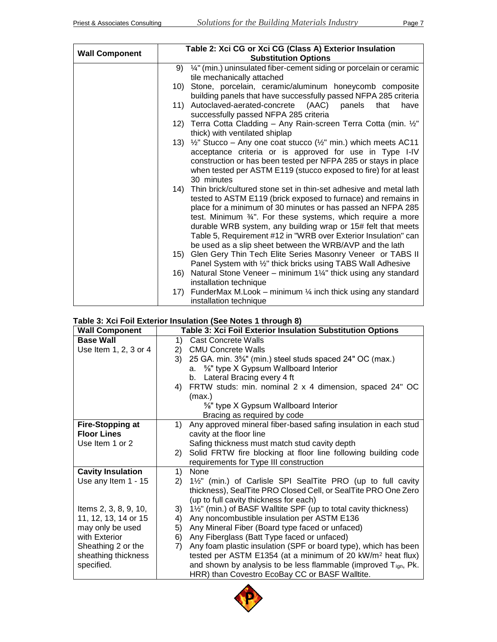|                       |     | Table 2: Xci CG or Xci CG (Class A) Exterior Insulation                                                                      |
|-----------------------|-----|------------------------------------------------------------------------------------------------------------------------------|
| <b>Wall Component</b> |     | <b>Substitution Options</b>                                                                                                  |
|                       |     | 9) 1/4" (min.) uninsulated fiber-cement siding or porcelain or ceramic                                                       |
|                       |     | tile mechanically attached                                                                                                   |
|                       | 10) | Stone, porcelain, ceramic/aluminum honeycomb composite                                                                       |
|                       |     | building panels that have successfully passed NFPA 285 criteria                                                              |
|                       |     | (AAC)<br>11) Autoclaved-aerated-concrete<br>panels<br>that<br>have                                                           |
|                       |     | successfully passed NFPA 285 criteria                                                                                        |
|                       |     | 12) Terra Cotta Cladding - Any Rain-screen Terra Cotta (min. 1/2"                                                            |
|                       |     | thick) with ventilated shiplap                                                                                               |
|                       |     | 13) 1/2" Stucco - Any one coat stucco (1/2" min.) which meets AC11                                                           |
|                       |     | acceptance criteria or is approved for use in Type I-IV                                                                      |
|                       |     | construction or has been tested per NFPA 285 or stays in place                                                               |
|                       |     | when tested per ASTM E119 (stucco exposed to fire) for at least                                                              |
|                       |     | 30 minutes                                                                                                                   |
|                       |     | 14) Thin brick/cultured stone set in thin-set adhesive and metal lath                                                        |
|                       |     | tested to ASTM E119 (brick exposed to furnace) and remains in<br>place for a minimum of 30 minutes or has passed an NFPA 285 |
|                       |     | test. Minimum 3/4". For these systems, which require a more                                                                  |
|                       |     | durable WRB system, any building wrap or 15# felt that meets                                                                 |
|                       |     | Table 5, Requirement #12 in "WRB over Exterior Insulation" can                                                               |
|                       |     | be used as a slip sheet between the WRB/AVP and the lath                                                                     |
|                       | 15) | Glen Gery Thin Tech Elite Series Masonry Veneer or TABS II                                                                   |
|                       |     | Panel System with 1/2" thick bricks using TABS Wall Adhesive                                                                 |
|                       |     | 16) Natural Stone Veneer - minimum 1¼" thick using any standard                                                              |
|                       |     | installation technique                                                                                                       |
|                       | 17) | FunderMax M.Look – minimum $\frac{1}{4}$ inch thick using any standard                                                       |
|                       |     | installation technique                                                                                                       |

### **Table 3: Xci Foil Exterior Insulation (See Notes 1 through 8)**

| <b>Wall Component</b>    | Table 3: Xci Foil Exterior Insulation Substitution Options             |
|--------------------------|------------------------------------------------------------------------|
| <b>Base Wall</b>         | <b>Cast Concrete Walls</b><br>1)                                       |
| Use Item 1, 2, 3 or 4    | <b>CMU Concrete Walls</b><br>2)                                        |
|                          | 25 GA. min. 3%" (min.) steel studs spaced 24" OC (max.)<br>3)          |
|                          | a. 5%" type X Gypsum Wallboard Interior                                |
|                          | b. Lateral Bracing every 4 ft                                          |
|                          | FRTW studs: min. nominal 2 x 4 dimension, spaced 24" OC<br>4)          |
|                          | (max.)                                                                 |
|                          | %" type X Gypsum Wallboard Interior                                    |
|                          | Bracing as required by code                                            |
| <b>Fire-Stopping at</b>  | Any approved mineral fiber-based safing insulation in each stud<br>1)  |
| <b>Floor Lines</b>       | cavity at the floor line                                               |
| Use Item 1 or 2          | Safing thickness must match stud cavity depth                          |
|                          | Solid FRTW fire blocking at floor line following building code<br>(2)  |
|                          | requirements for Type III construction                                 |
| <b>Cavity Insulation</b> | None<br>1)                                                             |
| Use any Item 1 - 15      | 1½" (min.) of Carlisle SPI SealTite PRO (up to full cavity<br>2)       |
|                          | thickness), SealTite PRO Closed Cell, or SealTite PRO One Zero         |
|                          | (up to full cavity thickness for each)                                 |
| Items 2, 3, 8, 9, 10,    | 1½" (min.) of BASF Walltite SPF (up to total cavity thickness)<br>3)   |
| 11, 12, 13, 14 or 15     | Any noncombustible insulation per ASTM E136<br>4)                      |
| may only be used         | 5)<br>Any Mineral Fiber (Board type faced or unfaced)                  |
| with Exterior            | Any Fiberglass (Batt Type faced or unfaced)<br>6)                      |
| Sheathing 2 or the       | Any foam plastic insulation (SPF or board type), which has been<br>7)  |
| sheathing thickness      | tested per ASTM E1354 (at a minimum of 20 kW/m <sup>2</sup> heat flux) |
| specified.               | and shown by analysis to be less flammable (improved $T_{ign}$ , Pk.   |
|                          | HRR) than Covestro EcoBay CC or BASF Walltite.                         |

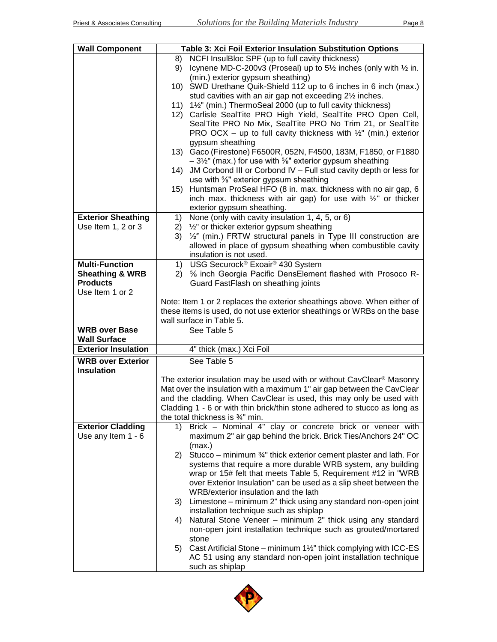| <b>Wall Component</b>                            | Table 3: Xci Foil Exterior Insulation Substitution Options                                                                                     |
|--------------------------------------------------|------------------------------------------------------------------------------------------------------------------------------------------------|
|                                                  | NCFI InsulBloc SPF (up to full cavity thickness)<br>8)                                                                                         |
|                                                  | Icynene MD-C-200v3 (Proseal) up to 5 <sup>1/2</sup> inches (only with <sup>1/2</sup> in.<br>9)                                                 |
|                                                  | (min.) exterior gypsum sheathing)                                                                                                              |
|                                                  | 10) SWD Urethane Quik-Shield 112 up to 6 inches in 6 inch (max.)                                                                               |
|                                                  | stud cavities with an air gap not exceeding 21/2 inches.<br>1½" (min.) ThermoSeal 2000 (up to full cavity thickness)<br>11)                    |
|                                                  | 12) Carlisle SealTite PRO High Yield, SealTite PRO Open Cell,                                                                                  |
|                                                  | SealTite PRO No Mix, SealTite PRO No Trim 21, or SealTite                                                                                      |
|                                                  | PRO OCX – up to full cavity thickness with $\frac{1}{2}$ " (min.) exterior                                                                     |
|                                                  | gypsum sheathing                                                                                                                               |
|                                                  | Gaco (Firestone) F6500R, 052N, F4500, 183M, F1850, or F1880<br>13)                                                                             |
|                                                  | $-3\frac{1}{2}$ " (max.) for use with %" exterior gypsum sheathing<br>JM Corbond III or Corbond IV - Full stud cavity depth or less for<br>14) |
|                                                  | use with %" exterior gypsum sheathing                                                                                                          |
|                                                  | Huntsman ProSeal HFO (8 in. max. thickness with no air gap, 6<br>15)                                                                           |
|                                                  | inch max. thickness with air gap) for use with $\frac{1}{2}$ or thicker                                                                        |
|                                                  | exterior gypsum sheathing.                                                                                                                     |
| <b>Exterior Sheathing</b>                        | None (only with cavity insulation 1, 4, 5, or 6)<br>1)                                                                                         |
| Use Item 1, 2 or 3                               | 1/2" or thicker exterior gypsum sheathing<br>2)<br>1/2" (min.) FRTW structural panels in Type III construction are                             |
|                                                  | 3)<br>allowed in place of gypsum sheathing when combustible cavity                                                                             |
|                                                  | insulation is not used.                                                                                                                        |
| <b>Multi-Function</b>                            | USG Securock® Exoair® 430 System<br>1)                                                                                                         |
| <b>Sheathing &amp; WRB</b>                       | 5% inch Georgia Pacific DensElement flashed with Prosoco R-<br>(2)                                                                             |
| <b>Products</b>                                  | Guard FastFlash on sheathing joints                                                                                                            |
| Use Item 1 or 2                                  | Note: Item 1 or 2 replaces the exterior sheathings above. When either of                                                                       |
|                                                  | these items is used, do not use exterior sheathings or WRBs on the base                                                                        |
|                                                  | wall surface in Table 5.                                                                                                                       |
| <b>WRB</b> over Base                             | See Table 5                                                                                                                                    |
| <b>Wall Surface</b>                              |                                                                                                                                                |
| <b>Exterior Insulation</b>                       | 4" thick (max.) Xci Foil                                                                                                                       |
| <b>WRB over Exterior</b><br><b>Insulation</b>    | See Table 5                                                                                                                                    |
|                                                  | The exterior insulation may be used with or without CavClear <sup>®</sup> Masonry                                                              |
|                                                  | Mat over the insulation with a maximum 1" air gap between the CavClear                                                                         |
|                                                  | and the cladding. When CavClear is used, this may only be used with                                                                            |
|                                                  | Cladding 1 - 6 or with thin brick/thin stone adhered to stucco as long as                                                                      |
|                                                  | the total thickness is 3/4" min.                                                                                                               |
| <b>Exterior Cladding</b><br>Use any Item $1 - 6$ | Brick - Nominal 4" clay or concrete brick or veneer with<br>1)<br>maximum 2" air gap behind the brick. Brick Ties/Anchors 24" OC               |
|                                                  |                                                                                                                                                |
|                                                  |                                                                                                                                                |
|                                                  | (max.)<br>Stucco – minimum 3/4" thick exterior cement plaster and lath. For<br>2)                                                              |
|                                                  | systems that require a more durable WRB system, any building                                                                                   |
|                                                  | wrap or 15# felt that meets Table 5, Requirement #12 in "WRB                                                                                   |
|                                                  | over Exterior Insulation" can be used as a slip sheet between the                                                                              |
|                                                  | WRB/exterior insulation and the lath                                                                                                           |
|                                                  | 3) Limestone – minimum 2" thick using any standard non-open joint                                                                              |
|                                                  | installation technique such as shiplap<br>4)                                                                                                   |
|                                                  | Natural Stone Veneer - minimum 2" thick using any standard<br>non-open joint installation technique such as grouted/mortared                   |
|                                                  | stone                                                                                                                                          |
|                                                  | Cast Artificial Stone – minimum $1\frac{1}{2}$ " thick complying with ICC-ES<br>5)                                                             |
|                                                  | AC 51 using any standard non-open joint installation technique<br>such as shiplap                                                              |

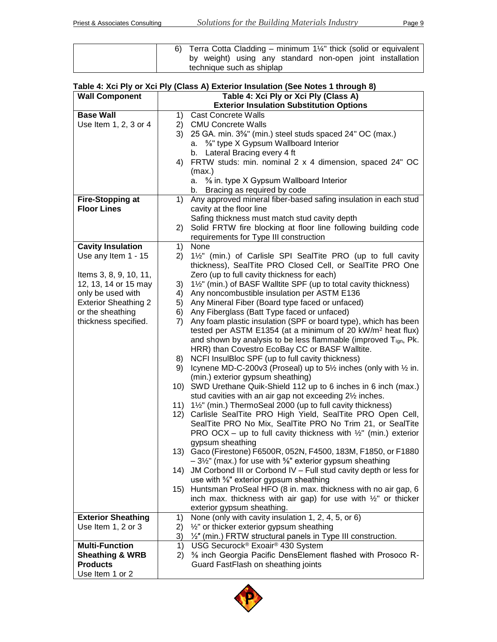| 6) Terra Cotta Cladding – minimum $1\frac{1}{s}$ thick (solid or equivalent |  |
|-----------------------------------------------------------------------------|--|
| by weight) using any standard non-open joint installation                   |  |
| technique such as shiplap                                                   |  |

# **Table 4: Xci Ply or Xci Ply (Class A) Exterior Insulation (See Notes 1 through 8)**

| <b>Wall Component</b>       | Table 4: Xci Ply or Xci Ply (Class A)                                                                         |  |
|-----------------------------|---------------------------------------------------------------------------------------------------------------|--|
|                             | <b>Exterior Insulation Substitution Options</b>                                                               |  |
| <b>Base Wall</b>            | <b>Cast Concrete Walls</b><br>1)                                                                              |  |
| Use Item 1, 2, 3 or 4       | 2) CMU Concrete Walls                                                                                         |  |
|                             | 25 GA. min. 3%" (min.) steel studs spaced 24" OC (max.)<br>3)                                                 |  |
|                             | <sup>5</sup> / <sub>8</sub> " type X Gypsum Wallboard Interior<br>а.                                          |  |
|                             | Lateral Bracing every 4 ft<br>b.                                                                              |  |
|                             | FRTW studs: min. nominal 2 x 4 dimension, spaced 24" OC<br>4)                                                 |  |
|                             | (max.)                                                                                                        |  |
|                             | a. 5% in. type X Gypsum Wallboard Interior                                                                    |  |
|                             | Bracing as required by code<br>b.                                                                             |  |
| <b>Fire-Stopping at</b>     | Any approved mineral fiber-based safing insulation in each stud<br>1)                                         |  |
| <b>Floor Lines</b>          | cavity at the floor line                                                                                      |  |
|                             | Safing thickness must match stud cavity depth                                                                 |  |
|                             | Solid FRTW fire blocking at floor line following building code<br>2)                                          |  |
|                             | requirements for Type III construction                                                                        |  |
| <b>Cavity Insulation</b>    | None<br>1)                                                                                                    |  |
| Use any Item 1 - 15         | 1½" (min.) of Carlisle SPI SealTite PRO (up to full cavity<br>2)                                              |  |
| Items 3, 8, 9, 10, 11,      | thickness), SealTite PRO Closed Cell, or SealTite PRO One                                                     |  |
| 12, 13, 14 or 15 may        | Zero (up to full cavity thickness for each)<br>1½" (min.) of BASF Walltite SPF (up to total cavity thickness) |  |
| only be used with           | 3)<br>Any noncombustible insulation per ASTM E136<br>4)                                                       |  |
| <b>Exterior Sheathing 2</b> | Any Mineral Fiber (Board type faced or unfaced)<br>5)                                                         |  |
| or the sheathing            | 6) Any Fiberglass (Batt Type faced or unfaced)                                                                |  |
| thickness specified.        | Any foam plastic insulation (SPF or board type), which has been<br>7)                                         |  |
|                             | tested per ASTM E1354 (at a minimum of 20 kW/m <sup>2</sup> heat flux)                                        |  |
|                             | and shown by analysis to be less flammable (improved $T_{ign}$ , Pk.                                          |  |
|                             | HRR) than Covestro EcoBay CC or BASF Walltite.                                                                |  |
|                             | NCFI InsulBloc SPF (up to full cavity thickness)<br>8)                                                        |  |
|                             | Icynene MD-C-200v3 (Proseal) up to 5 <sup>1/2</sup> inches (only with <sup>1/2</sup> in.<br>9)                |  |
|                             | (min.) exterior gypsum sheathing)                                                                             |  |
|                             | SWD Urethane Quik-Shield 112 up to 6 inches in 6 inch (max.)<br>10)                                           |  |
|                             | stud cavities with an air gap not exceeding 21/2 inches.                                                      |  |
|                             | 1½" (min.) ThermoSeal 2000 (up to full cavity thickness)<br>11)                                               |  |
|                             | 12) Carlisle SealTite PRO High Yield, SealTite PRO Open Cell,                                                 |  |
|                             | SealTite PRO No Mix, SealTite PRO No Trim 21, or SealTite                                                     |  |
|                             | PRO OCX – up to full cavity thickness with $\frac{1}{2}$ " (min.) exterior                                    |  |
|                             | gypsum sheathing                                                                                              |  |
|                             | 13) Gaco (Firestone) F6500R, 052N, F4500, 183M, F1850, or F1880                                               |  |
|                             | $-3\frac{1}{2}$ " (max.) for use with %" exterior gypsum sheathing                                            |  |
|                             | 14) JM Corbond III or Corbond IV - Full stud cavity depth or less for                                         |  |
|                             | use with %" exterior gypsum sheathing                                                                         |  |
|                             | 15) Huntsman ProSeal HFO (8 in. max. thickness with no air gap, 6                                             |  |
|                             | inch max. thickness with air gap) for use with $\frac{1}{2}$ or thicker<br>exterior gypsum sheathing.         |  |
| <b>Exterior Sheathing</b>   | None (only with cavity insulation 1, 2, 4, 5, or 6)<br>1)                                                     |  |
| Use Item 1, 2 or 3          | $\frac{1}{2}$ " or thicker exterior gypsum sheathing<br>2)                                                    |  |
|                             | 1/2" (min.) FRTW structural panels in Type III construction.<br>3)                                            |  |
| <b>Multi-Function</b>       | USG Securock® Exoair® 430 System<br>1)                                                                        |  |
| <b>Sheathing &amp; WRB</b>  | 5% inch Georgia Pacific DensElement flashed with Prosoco R-<br>2)                                             |  |
| <b>Products</b>             | Guard FastFlash on sheathing joints                                                                           |  |
| Use Item 1 or 2             |                                                                                                               |  |

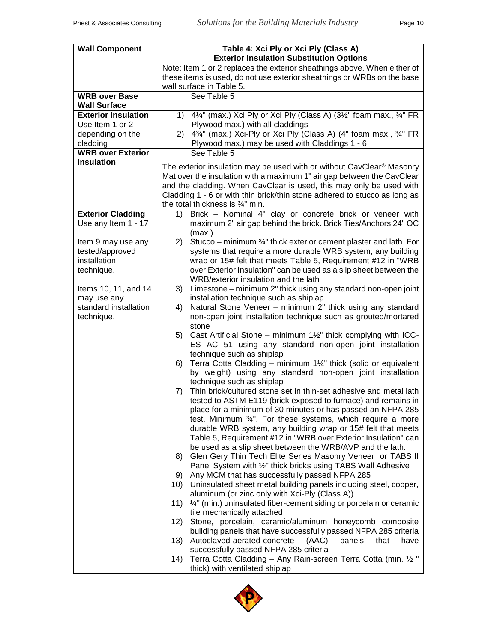| <b>Wall Component</b>                                                                                                                             | Table 4: Xci Ply or Xci Ply (Class A)<br><b>Exterior Insulation Substitution Options</b>                                                                                                                                                                                                                                                                                                                                                                                                                                                                                                       |
|---------------------------------------------------------------------------------------------------------------------------------------------------|------------------------------------------------------------------------------------------------------------------------------------------------------------------------------------------------------------------------------------------------------------------------------------------------------------------------------------------------------------------------------------------------------------------------------------------------------------------------------------------------------------------------------------------------------------------------------------------------|
|                                                                                                                                                   | Note: Item 1 or 2 replaces the exterior sheathings above. When either of<br>these items is used, do not use exterior sheathings or WRBs on the base<br>wall surface in Table 5.                                                                                                                                                                                                                                                                                                                                                                                                                |
| <b>WRB over Base</b><br><b>Wall Surface</b>                                                                                                       | See Table 5                                                                                                                                                                                                                                                                                                                                                                                                                                                                                                                                                                                    |
| <b>Exterior Insulation</b>                                                                                                                        | 4¼" (max.) Xci Ply or Xci Ply (Class A) (3½" foam max., 3⁄4" FR<br>1)                                                                                                                                                                                                                                                                                                                                                                                                                                                                                                                          |
| Use Item 1 or 2                                                                                                                                   | Plywood max.) with all claddings                                                                                                                                                                                                                                                                                                                                                                                                                                                                                                                                                               |
| depending on the                                                                                                                                  | 43/4" (max.) Xci-Ply or Xci Ply (Class A) (4" foam max., 3/4" FR<br>(2)                                                                                                                                                                                                                                                                                                                                                                                                                                                                                                                        |
| cladding<br><b>WRB over Exterior</b>                                                                                                              | Plywood max.) may be used with Claddings 1 - 6<br>See Table 5                                                                                                                                                                                                                                                                                                                                                                                                                                                                                                                                  |
| <b>Insulation</b>                                                                                                                                 |                                                                                                                                                                                                                                                                                                                                                                                                                                                                                                                                                                                                |
|                                                                                                                                                   | The exterior insulation may be used with or without CavClear <sup>®</sup> Masonry<br>Mat over the insulation with a maximum 1" air gap between the CavClear<br>and the cladding. When CavClear is used, this may only be used with<br>Cladding 1 - 6 or with thin brick/thin stone adhered to stucco as long as<br>the total thickness is 3/4" min.                                                                                                                                                                                                                                            |
| <b>Exterior Cladding</b>                                                                                                                          | Brick - Nominal 4" clay or concrete brick or veneer with<br>1)                                                                                                                                                                                                                                                                                                                                                                                                                                                                                                                                 |
| Use any Item 1 - 17                                                                                                                               | maximum 2" air gap behind the brick. Brick Ties/Anchors 24" OC                                                                                                                                                                                                                                                                                                                                                                                                                                                                                                                                 |
| Item 9 may use any<br>tested/approved<br>installation<br>technique.<br>Items 10, 11, and 14<br>may use any<br>standard installation<br>technique. | (max.)<br>Stucco – minimum 34" thick exterior cement plaster and lath. For<br>2)<br>systems that require a more durable WRB system, any building<br>wrap or 15# felt that meets Table 5, Requirement #12 in "WRB<br>over Exterior Insulation" can be used as a slip sheet between the<br>WRB/exterior insulation and the lath<br>Limestone – minimum 2" thick using any standard non-open joint<br>3)<br>installation technique such as shiplap<br>Natural Stone Veneer - minimum 2" thick using any standard<br>4)<br>non-open joint installation technique such as grouted/mortared<br>stone |
|                                                                                                                                                   | Cast Artificial Stone – minimum $1\frac{1}{2}$ " thick complying with ICC-<br>5)<br>ES AC 51 using any standard non-open joint installation<br>technique such as shiplap<br>Terra Cotta Cladding - minimum 11/4" thick (solid or equivalent<br>6)                                                                                                                                                                                                                                                                                                                                              |
|                                                                                                                                                   | by weight) using any standard non-open joint installation<br>technique such as shiplap                                                                                                                                                                                                                                                                                                                                                                                                                                                                                                         |
|                                                                                                                                                   | Thin brick/cultured stone set in thin-set adhesive and metal lath<br>7)<br>tested to ASTM E119 (brick exposed to furnace) and remains in<br>place for a minimum of 30 minutes or has passed an NFPA 285<br>test. Minimum $\frac{3}{4}$ ". For these systems, which require a more<br>durable WRB system, any building wrap or 15# felt that meets<br>Table 5, Requirement #12 in "WRB over Exterior Insulation" can<br>be used as a slip sheet between the WRB/AVP and the lath.<br>Glen Gery Thin Tech Elite Series Masonry Veneer or TABS II<br>8)                                           |
|                                                                                                                                                   | Panel System with 1/2" thick bricks using TABS Wall Adhesive                                                                                                                                                                                                                                                                                                                                                                                                                                                                                                                                   |
|                                                                                                                                                   | Any MCM that has successfully passed NFPA 285<br>9)                                                                                                                                                                                                                                                                                                                                                                                                                                                                                                                                            |
|                                                                                                                                                   | Uninsulated sheet metal building panels including steel, copper,<br>10)<br>aluminum (or zinc only with Xci-Ply (Class A))                                                                                                                                                                                                                                                                                                                                                                                                                                                                      |
|                                                                                                                                                   | 1/4" (min.) uninsulated fiber-cement siding or porcelain or ceramic<br>11)<br>tile mechanically attached                                                                                                                                                                                                                                                                                                                                                                                                                                                                                       |
|                                                                                                                                                   | Stone, porcelain, ceramic/aluminum honeycomb composite<br>12)<br>building panels that have successfully passed NFPA 285 criteria                                                                                                                                                                                                                                                                                                                                                                                                                                                               |
|                                                                                                                                                   | Autoclaved-aerated-concrete<br>panels<br>(AAC)<br>that<br>13)<br>have                                                                                                                                                                                                                                                                                                                                                                                                                                                                                                                          |
|                                                                                                                                                   | successfully passed NFPA 285 criteria<br>Terra Cotta Cladding - Any Rain-screen Terra Cotta (min. 1/2"<br>14)<br>thick) with ventilated shiplap                                                                                                                                                                                                                                                                                                                                                                                                                                                |

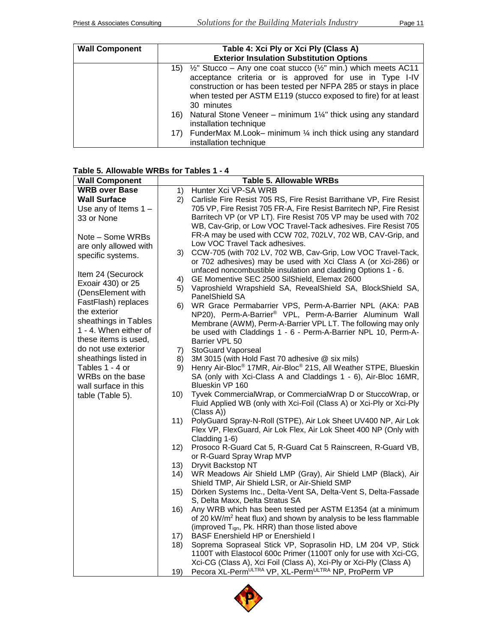| <b>Wall Component</b> | Table 4: Xci Ply or Xci Ply (Class A)<br><b>Exterior Insulation Substitution Options</b>                                                                                                                                                                                                                   |
|-----------------------|------------------------------------------------------------------------------------------------------------------------------------------------------------------------------------------------------------------------------------------------------------------------------------------------------------|
|                       | $\frac{1}{2}$ " Stucco – Any one coat stucco ( $\frac{1}{2}$ " min.) which meets AC11<br>15)<br>acceptance criteria or is approved for use in Type I-IV<br>construction or has been tested per NFPA 285 or stays in place<br>when tested per ASTM E119 (stucco exposed to fire) for at least<br>30 minutes |
|                       | Natural Stone Veneer – minimum 1¼" thick using any standard<br>16)<br>installation technique                                                                                                                                                                                                               |
|                       | FunderMax M.Look– minimum $\frac{1}{4}$ inch thick using any standard<br>17)<br>installation technique                                                                                                                                                                                                     |

## **Table 5. Allowable WRBs for Tables 1 - 4**

| <b>Wall Component</b>  |      | <b>Table 5. Allowable WRBs</b>                                                          |
|------------------------|------|-----------------------------------------------------------------------------------------|
| <b>WRB over Base</b>   | 1)   | Hunter Xci VP-SA WRB                                                                    |
| <b>Wall Surface</b>    | 2)   | Carlisle Fire Resist 705 RS, Fire Resist Barrithane VP, Fire Resist                     |
| Use any of Items $1 -$ |      | 705 VP, Fire Resist 705 FR-A, Fire Resist Barritech NP, Fire Resist                     |
| 33 or None             |      | Barritech VP (or VP LT). Fire Resist 705 VP may be used with 702                        |
|                        |      | WB, Cav-Grip, or Low VOC Travel-Tack adhesives. Fire Resist 705                         |
| Note - Some WRBs       |      | FR-A may be used with CCW 702, 702LV, 702 WB, CAV-Grip, and                             |
| are only allowed with  |      | Low VOC Travel Tack adhesives.                                                          |
| specific systems.      |      | 3) CCW-705 (with 702 LV, 702 WB, Cav-Grip, Low VOC Travel-Tack,                         |
|                        |      | or 702 adhesives) may be used with Xci Class A (or Xci-286) or                          |
|                        |      | unfaced noncombustible insulation and cladding Options 1 - 6.                           |
| Item 24 (Securock      | 4)   | GE Momentive SEC 2500 SilShield, Elemax 2600                                            |
| Exoair 430) or 25      | 5)   | Vaproshield Wrapshield SA, RevealShield SA, BlockShield SA,                             |
| (DensElement with      |      | PanelShield SA                                                                          |
| FastFlash) replaces    | 6)   | WR Grace Permabarrier VPS, Perm-A-Barrier NPL (AKA: PAB                                 |
| the exterior           |      | NP20), Perm-A-Barrier® VPL, Perm-A-Barrier Aluminum Wall                                |
| sheathings in Tables   |      | Membrane (AWM), Perm-A-Barrier VPL LT. The following may only                           |
| 1 - 4. When either of  |      | be used with Claddings 1 - 6 - Perm-A-Barrier NPL 10, Perm-A-                           |
| these items is used,   |      | Barrier VPL 50                                                                          |
| do not use exterior    | 7).  | <b>StoGuard Vaporseal</b>                                                               |
| sheathings listed in   | 8)   | 3M 3015 (with Hold Fast 70 adhesive @ six mils)                                         |
| Tables 1 - 4 or        | 9)   | Henry Air-Bloc <sup>®</sup> 17MR, Air-Bloc <sup>®</sup> 21S, All Weather STPE, Blueskin |
| WRBs on the base       |      | SA (only with Xci-Class A and Claddings 1 - 6), Air-Bloc 16MR,                          |
| wall surface in this   |      | Blueskin VP 160                                                                         |
| table (Table 5).       | 10)  | Tyvek CommercialWrap, or CommercialWrap D or StuccoWrap, or                             |
|                        |      | Fluid Applied WB (only with Xci-Foil (Class A) or Xci-Ply or Xci-Ply                    |
|                        |      | (Class A))                                                                              |
|                        | 11)  | PolyGuard Spray-N-Roll (STPE), Air Lok Sheet UV400 NP, Air Lok                          |
|                        |      | Flex VP, FlexGuard, Air Lok Flex, Air Lok Sheet 400 NP (Only with                       |
|                        |      | Cladding 1-6)                                                                           |
|                        | 12)  | Prosoco R-Guard Cat 5, R-Guard Cat 5 Rainscreen, R-Guard VB,                            |
|                        |      | or R-Guard Spray Wrap MVP                                                               |
|                        | 13)  | Dryvit Backstop NT                                                                      |
|                        | (14) | WR Meadows Air Shield LMP (Gray), Air Shield LMP (Black), Air                           |
|                        |      | Shield TMP, Air Shield LSR, or Air-Shield SMP                                           |
|                        | 15)  | Dörken Systems Inc., Delta-Vent SA, Delta-Vent S, Delta-Fassade                         |
|                        |      | S, Delta Maxx, Delta Stratus SA                                                         |
|                        | 16)  | Any WRB which has been tested per ASTM E1354 (at a minimum                              |
|                        |      | of 20 kW/m <sup>2</sup> heat flux) and shown by analysis to be less flammable           |
|                        |      | (improved Tign, Pk. HRR) than those listed above                                        |
|                        | 17)  | <b>BASF Enershield HP or Enershield I</b>                                               |
|                        | 18)  | Soprema Sopraseal Stick VP, Soprasolin HD, LM 204 VP, Stick                             |
|                        |      | 1100T with Elastocol 600c Primer (1100T only for use with Xci-CG,                       |
|                        |      | Xci-CG (Class A), Xci Foil (Class A), Xci-Ply or Xci-Ply (Class A)                      |
|                        | 19)  | Pecora XL-PermULTRA VP, XL-PermULTRA NP, ProPerm VP                                     |

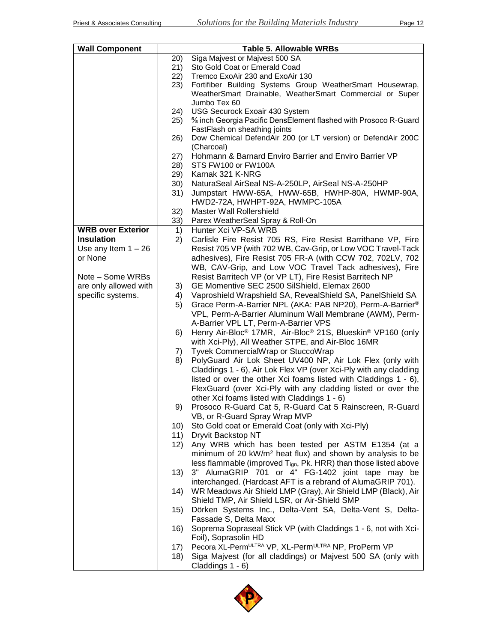| <b>Wall Component</b>    |          | <b>Table 5. Allowable WRBs</b>                                                                 |
|--------------------------|----------|------------------------------------------------------------------------------------------------|
|                          | 20)      | Siga Majvest or Majvest 500 SA                                                                 |
|                          | 21)      | Sto Gold Coat or Emerald Coad                                                                  |
|                          | (22)     | Tremco ExoAir 230 and ExoAir 130                                                               |
|                          | 23)      | Fortifiber Building Systems Group WeatherSmart Housewrap,                                      |
|                          |          | WeatherSmart Drainable, WeatherSmart Commercial or Super<br>Jumbo Tex 60                       |
|                          | 24)      | <b>USG Securock Exoair 430 System</b>                                                          |
|                          | 25)      | % inch Georgia Pacific DensElement flashed with Prosoco R-Guard                                |
|                          |          | FastFlash on sheathing joints                                                                  |
|                          | 26)      | Dow Chemical DefendAir 200 (or LT version) or DefendAir 200C<br>(Charcoal)                     |
|                          | 27)      | Hohmann & Barnard Enviro Barrier and Enviro Barrier VP                                         |
|                          | 28)      | STS FW100 or FW100A                                                                            |
|                          | 29)      | Karnak 321 K-NRG                                                                               |
|                          | 30)      | NaturaSeal AirSeal NS-A-250LP, AirSeal NS-A-250HP                                              |
|                          | 31)      | Jumpstart HWW-65A, HWW-65B, HWHP-80A, HWMP-90A,                                                |
|                          |          | HWD2-72A, HWHPT-92A, HWMPC-105A                                                                |
|                          | 32)      | Master Wall Rollershield                                                                       |
| <b>WRB over Exterior</b> | 33)      | Parex WeatherSeal Spray & Roll-On<br>Hunter Xci VP-SA WRB                                      |
| <b>Insulation</b>        | 1)<br>2) | Carlisle Fire Resist 705 RS, Fire Resist Barrithane VP, Fire                                   |
| Use any Item $1 - 26$    |          | Resist 705 VP (with 702 WB, Cav-Grip, or Low VOC Travel-Tack                                   |
| or None                  |          | adhesives), Fire Resist 705 FR-A (with CCW 702, 702LV, 702                                     |
|                          |          | WB, CAV-Grip, and Low VOC Travel Tack adhesives), Fire                                         |
| Note - Some WRBs         |          | Resist Barritech VP (or VP LT), Fire Resist Barritech NP                                       |
| are only allowed with    | 3)       | GE Momentive SEC 2500 SilShield, Elemax 2600                                                   |
| specific systems.        | 4)       | Vaproshield Wrapshield SA, RevealShield SA, PanelShield SA                                     |
|                          | 5)       | Grace Perm-A-Barrier NPL (AKA: PAB NP20), Perm-A-Barrier®                                      |
|                          |          | VPL, Perm-A-Barrier Aluminum Wall Membrane (AWM), Perm-                                        |
|                          |          | A-Barrier VPL LT, Perm-A-Barrier VPS                                                           |
|                          | 6)       | Henry Air-Bloc <sup>®</sup> 17MR, Air-Bloc <sup>®</sup> 21S, Blueskin <sup>®</sup> VP160 (only |
|                          |          | with Xci-Ply), All Weather STPE, and Air-Bloc 16MR                                             |
|                          | 7)       | Tyvek CommercialWrap or StuccoWrap                                                             |
|                          | 8)       | PolyGuard Air Lok Sheet UV400 NP, Air Lok Flex (only with                                      |
|                          |          | Claddings 1 - 6), Air Lok Flex VP (over Xci-Ply with any cladding                              |
|                          |          | listed or over the other Xci foams listed with Claddings 1 - 6),                               |
|                          |          | FlexGuard (over Xci-Ply with any cladding listed or over the                                   |
|                          |          | other Xci foams listed with Claddings 1 - 6)                                                   |
|                          | 9)       | Prosoco R-Guard Cat 5, R-Guard Cat 5 Rainscreen, R-Guard<br>VB, or R-Guard Spray Wrap MVP      |
|                          | 10)      | Sto Gold coat or Emerald Coat (only with Xci-Ply)                                              |
|                          |          | 11) Dryvit Backstop NT                                                                         |
|                          | 12)      | Any WRB which has been tested per ASTM E1354 (at a                                             |
|                          |          | minimum of 20 kW/m <sup>2</sup> heat flux) and shown by analysis to be                         |
|                          |          | less flammable (improved Tign, Pk. HRR) than those listed above                                |
|                          | 13)      | 3" AlumaGRIP 701 or 4" FG-1402 joint tape may be                                               |
|                          |          | interchanged. (Hardcast AFT is a rebrand of AlumaGRIP 701).                                    |
|                          | 14)      | WR Meadows Air Shield LMP (Gray), Air Shield LMP (Black), Air                                  |
|                          |          | Shield TMP, Air Shield LSR, or Air-Shield SMP                                                  |
|                          | 15)      | Dörken Systems Inc., Delta-Vent SA, Delta-Vent S, Delta-                                       |
|                          |          | Fassade S, Delta Maxx                                                                          |
|                          | 16)      | Soprema Sopraseal Stick VP (with Claddings 1 - 6, not with Xci-                                |
|                          |          | Foil), Soprasolin HD                                                                           |
|                          | 17)      | Pecora XL-Perm <sup>ULTRA</sup> VP, XL-Perm <sup>ULTRA</sup> NP, ProPerm VP                    |
|                          | 18)      | Siga Majvest (for all claddings) or Majvest 500 SA (only with                                  |
|                          |          | Claddings 1 - 6)                                                                               |

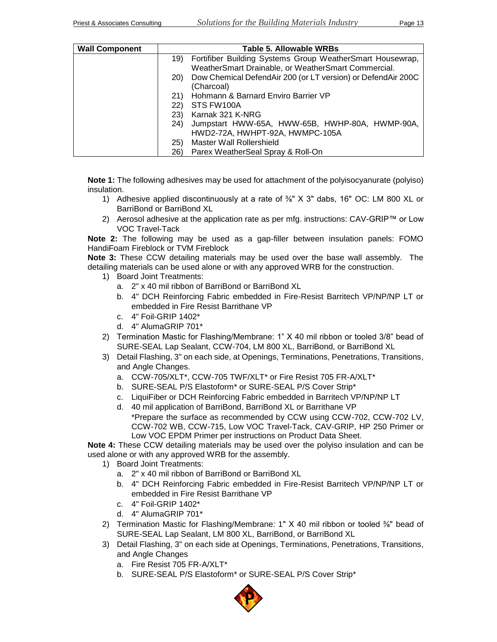| <b>Wall Component</b> |           | Table 5. Allowable WRBs                                      |
|-----------------------|-----------|--------------------------------------------------------------|
|                       | 19)       | Fortifiber Building Systems Group WeatherSmart Housewrap,    |
|                       |           | WeatherSmart Drainable, or WeatherSmart Commercial.          |
|                       | <b>20</b> | Dow Chemical DefendAir 200 (or LT version) or DefendAir 200C |
|                       |           | (Charcoal)                                                   |
|                       | 21)       | Hohmann & Barnard Enviro Barrier VP                          |
|                       | 22)       | STS FW100A                                                   |
|                       | 23)       | Karnak 321 K-NRG                                             |
|                       | 24)       | Jumpstart HWW-65A, HWW-65B, HWHP-80A, HWMP-90A,              |
|                       |           | HWD2-72A, HWHPT-92A, HWMPC-105A                              |
|                       | (25)      | Master Wall Rollershield                                     |
|                       | 26)       | Parex WeatherSeal Spray & Roll-On                            |

**Note 1:** The following adhesives may be used for attachment of the polyisocyanurate (polyiso) insulation.

- 1) Adhesive applied discontinuously at a rate of  $\frac{3}{8}$ " X 3" dabs, 16" OC: LM 800 XL or BarriBond or BarriBond XL
- 2) Aerosol adhesive at the application rate as per mfg. instructions: CAV-GRIP™ or Low VOC Travel-Tack

**Note 2:** The following may be used as a gap-filler between insulation panels: FOMO HandiFoam Fireblock or TVM Fireblock

**Note 3:** These CCW detailing materials may be used over the base wall assembly. The detailing materials can be used alone or with any approved WRB for the construction.

- 1) Board Joint Treatments:
	- a. 2" x 40 mil ribbon of BarriBond or BarriBond XL
	- b. 4" DCH Reinforcing Fabric embedded in Fire-Resist Barritech VP/NP/NP LT or embedded in Fire Resist Barrithane VP
	- c. 4" Foil-GRIP 1402\*
	- d. 4" AlumaGRIP 701\*
- 2) Termination Mastic for Flashing/Membrane: 1" X 40 mil ribbon or tooled 3/8" bead of SURE-SEAL Lap Sealant, CCW-704, LM 800 XL, BarriBond, or BarriBond XL
- 3) Detail Flashing, 3" on each side, at Openings, Terminations, Penetrations, Transitions, and Angle Changes.
	- a. CCW-705/XLT\*, CCW-705 TWF/XLT\* or Fire Resist 705 FR-A/XLT\*
	- b. SURE-SEAL P/S Elastoform<sup>\*</sup> or SURE-SEAL P/S Cover Strip<sup>\*</sup>
	- c. LiquiFiber or DCH Reinforcing Fabric embedded in Barritech VP/NP/NP LT
	- d. 40 mil application of BarriBond, BarriBond XL or Barrithane VP \*Prepare the surface as recommended by CCW using CCW-702, CCW-702 LV, CCW-702 WB, CCW-715, Low VOC Travel-Tack, CAV-GRIP, HP 250 Primer or Low VOC EPDM Primer per instructions on Product Data Sheet.

**Note 4:** These CCW detailing materials may be used over the polyiso insulation and can be used alone or with any approved WRB for the assembly.

- 1) Board Joint Treatments:
	- a. 2" x 40 mil ribbon of BarriBond or BarriBond XL
	- b. 4" DCH Reinforcing Fabric embedded in Fire-Resist Barritech VP/NP/NP LT or embedded in Fire Resist Barrithane VP
	- c. 4" Foil-GRIP 1402\*
	- d. 4" AlumaGRIP 701\*
- 2) Termination Mastic for Flashing/Membrane: 1"  $X$  40 mil ribbon or tooled  $\frac{3}{8}$ " bead of SURE-SEAL Lap Sealant, LM 800 XL, BarriBond, or BarriBond XL
- 3) Detail Flashing, 3" on each side at Openings, Terminations, Penetrations, Transitions, and Angle Changes
	- a. Fire Resist 705 FR-A/XLT\*
	- b. SURE-SEAL P/S Elastoform<sup>\*</sup> or SURE-SEAL P/S Cover Strip<sup>\*</sup>

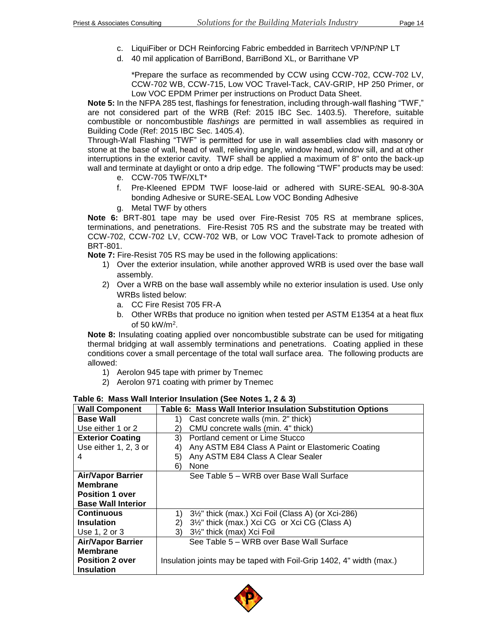- c. LiquiFiber or DCH Reinforcing Fabric embedded in Barritech VP/NP/NP LT
- d. 40 mil application of BarriBond, BarriBond XL, or Barrithane VP

\*Prepare the surface as recommended by CCW using CCW-702, CCW-702 LV, CCW-702 WB, CCW-715, Low VOC Travel-Tack, CAV-GRIP, HP 250 Primer, or Low VOC EPDM Primer per instructions on Product Data Sheet.

**Note 5:** In the NFPA 285 test, flashings for fenestration, including through-wall flashing "TWF," are not considered part of the WRB (Ref: 2015 IBC Sec. 1403.5). Therefore, suitable combustible or noncombustible *flashings* are permitted in wall assemblies as required in Building Code (Ref: 2015 IBC Sec. 1405.4).

Through-Wall Flashing "TWF" is permitted for use in wall assemblies clad with masonry or stone at the base of wall, head of wall, relieving angle, window head, window sill, and at other interruptions in the exterior cavity. TWF shall be applied a maximum of 8" onto the back-up wall and terminate at daylight or onto a drip edge. The following "TWF" products may be used:

- e. CCW-705 TWF/XLT\*
- f. Pre-Kleened EPDM TWF loose-laid or adhered with SURE-SEAL 90-8-30A bonding Adhesive or SURE-SEAL Low VOC Bonding Adhesive
- g. Metal TWF by others

**Note 6:** BRT-801 tape may be used over Fire-Resist 705 RS at membrane splices, terminations, and penetrations. Fire-Resist 705 RS and the substrate may be treated with CCW-702, CCW-702 LV, CCW-702 WB, or Low VOC Travel-Tack to promote adhesion of BRT-801.

**Note 7:** Fire-Resist 705 RS may be used in the following applications:

- 1) Over the exterior insulation, while another approved WRB is used over the base wall assembly.
- 2) Over a WRB on the base wall assembly while no exterior insulation is used. Use only WRBs listed below:
	- a. CC Fire Resist 705 FR-A
	- b. Other WRBs that produce no ignition when tested per ASTM E1354 at a heat flux of 50 kW/m<sup>2</sup> .

**Note 8:** Insulating coating applied over noncombustible substrate can be used for mitigating thermal bridging at wall assembly terminations and penetrations. Coating applied in these conditions cover a small percentage of the total wall surface area. The following products are allowed:

- 1) Aerolon 945 tape with primer by Tnemec
- 2) Aerolon 971 coating with primer by Tnemec

| <b>Wall Component</b>     | Table 6: Mass Wall Interior Insulation Substitution Options         |  |
|---------------------------|---------------------------------------------------------------------|--|
| <b>Base Wall</b>          | Cast concrete walls (min. 2" thick)<br>1)                           |  |
| Use either 1 or 2         | CMU concrete walls (min. 4" thick)<br>2)                            |  |
| <b>Exterior Coating</b>   | 3)<br>Portland cement or Lime Stucco                                |  |
| Use either 1, 2, 3 or     | Any ASTM E84 Class A Paint or Elastomeric Coating<br>4)             |  |
| 4                         | Any ASTM E84 Class A Clear Sealer<br>5)                             |  |
|                           | None<br>6)                                                          |  |
| <b>Air/Vapor Barrier</b>  | See Table 5 – WRB over Base Wall Surface                            |  |
| <b>Membrane</b>           |                                                                     |  |
| <b>Position 1 over</b>    |                                                                     |  |
| <b>Base Wall Interior</b> |                                                                     |  |
| <b>Continuous</b>         | 3½" thick (max.) Xci Foil (Class A) (or Xci-286)<br>1)              |  |
| <b>Insulation</b>         | 3½" thick (max.) Xci CG or Xci CG (Class A)<br>2)                   |  |
| Use 1, 2 or 3             | 3½" thick (max) Xci Foil<br>3)                                      |  |
| <b>Air/Vapor Barrier</b>  | See Table 5 – WRB over Base Wall Surface                            |  |
| <b>Membrane</b>           |                                                                     |  |
| <b>Position 2 over</b>    | Insulation joints may be taped with Foil-Grip 1402, 4" width (max.) |  |
| <b>Insulation</b>         |                                                                     |  |

**Table 6: Mass Wall Interior Insulation (See Notes 1, 2 & 3)**

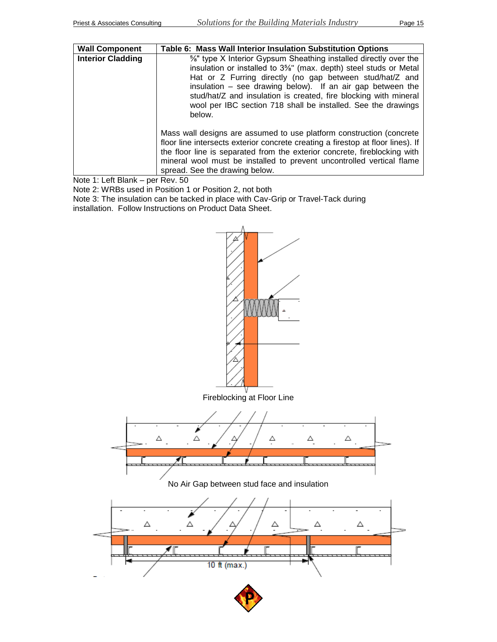| <b>Wall Component</b>    | Table 6: Mass Wall Interior Insulation Substitution Options                                                                                                                                                                                                                                                                                                                                                     |
|--------------------------|-----------------------------------------------------------------------------------------------------------------------------------------------------------------------------------------------------------------------------------------------------------------------------------------------------------------------------------------------------------------------------------------------------------------|
| <b>Interior Cladding</b> | 5%" type X Interior Gypsum Sheathing installed directly over the<br>insulation or installed to 3%" (max. depth) steel studs or Metal<br>Hat or Z Furring directly (no gap between stud/hat/Z and<br>insulation $-$ see drawing below). If an air gap between the<br>stud/hat/Z and insulation is created, fire blocking with mineral<br>wool per IBC section 718 shall be installed. See the drawings<br>below. |
|                          | Mass wall designs are assumed to use platform construction (concrete<br>floor line intersects exterior concrete creating a firestop at floor lines). If<br>the floor line is separated from the exterior concrete, fireblocking with<br>mineral wool must be installed to prevent uncontrolled vertical flame<br>spread. See the drawing below.                                                                 |

Note 1: Left Blank – per Rev. 50

Note 2: WRBs used in Position 1 or Position 2, not both Note 3: The insulation can be tacked in place with Cav-Grip or Travel-Tack during installation. Follow Instructions on Product Data Sheet.